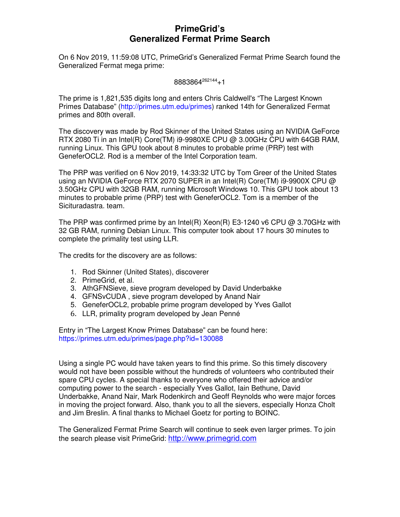# **PrimeGrid's Generalized Fermat Prime Search**

On 6 Nov 2019, 11:59:08 UTC, PrimeGrid's Generalized Fermat Prime Search found the Generalized Fermat mega prime:

#### 8883864<sup>262144</sup>+1

The prime is 1,821,535 digits long and enters Chris Caldwell's "The Largest Known Primes Database" (http://primes.utm.edu/primes) ranked 14th for Generalized Fermat primes and 80th overall.

The discovery was made by Rod Skinner of the United States using an NVIDIA GeForce RTX 2080 Ti in an Intel(R) Core(TM) i9-9980XE CPU @ 3.00GHz CPU with 64GB RAM, running Linux. This GPU took about 8 minutes to probable prime (PRP) test with GeneferOCL2. Rod is a member of the Intel Corporation team.

The PRP was verified on 6 Nov 2019, 14:33:32 UTC by Tom Greer of the United States using an NVIDIA GeForce RTX 2070 SUPER in an Intel(R) Core(TM) i9-9900X CPU @ 3.50GHz CPU with 32GB RAM, running Microsoft Windows 10. This GPU took about 13 minutes to probable prime (PRP) test with GeneferOCL2. Tom is a member of the Sicituradastra. team.

The PRP was confirmed prime by an Intel(R) Xeon(R) E3-1240 v6 CPU  $@$  3.70GHz with 32 GB RAM, running Debian Linux. This computer took about 17 hours 30 minutes to complete the primality test using LLR.

The credits for the discovery are as follows:

- 1. Rod Skinner (United States), discoverer
- 2. PrimeGrid, et al.
- 3. AthGFNSieve, sieve program developed by David Underbakke
- 4. GFNSvCUDA , sieve program developed by Anand Nair
- 5. GeneferOCL2, probable prime program developed by Yves Gallot
- 6. LLR, primality program developed by Jean Penné

Entry in "The Largest Know Primes Database" can be found here: https://primes.utm.edu/primes/page.php?id=130088

Using a single PC would have taken years to find this prime. So this timely discovery would not have been possible without the hundreds of volunteers who contributed their spare CPU cycles. A special thanks to everyone who offered their advice and/or computing power to the search - especially Yves Gallot, Iain Bethune, David Underbakke, Anand Nair, Mark Rodenkirch and Geoff Reynolds who were major forces in moving the project forward. Also, thank you to all the sievers, especially Honza Cholt and Jim Breslin. A final thanks to Michael Goetz for porting to BOINC.

The Generalized Fermat Prime Search will continue to seek even larger primes. To join the search please visit PrimeGrid: http://www.primegrid.com